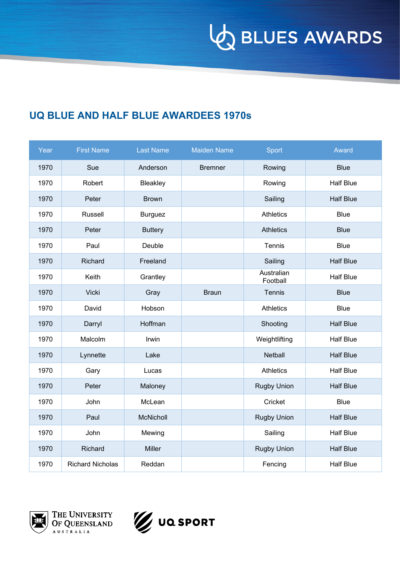**VO BLUES AWARDS** 

### **UQ BLUE AND HALF BLUE AWARDEES 1970s**

| Year | <b>First Name</b>       | <b>Last Name</b> | <b>Maiden Name</b> | Sport                  | Award            |
|------|-------------------------|------------------|--------------------|------------------------|------------------|
| 1970 | Sue                     | Anderson         | <b>Bremner</b>     | Rowing                 | <b>Blue</b>      |
| 1970 | Robert                  | Bleakley         |                    | Rowing                 | <b>Half Blue</b> |
| 1970 | Peter                   | <b>Brown</b>     |                    | Sailing                | <b>Half Blue</b> |
| 1970 | Russell                 | <b>Burguez</b>   |                    | <b>Athletics</b>       | <b>Blue</b>      |
| 1970 | Peter                   | <b>Buttery</b>   |                    | <b>Athletics</b>       | <b>Blue</b>      |
| 1970 | Paul                    | Deuble           |                    | Tennis                 | <b>Blue</b>      |
| 1970 | Richard                 | Freeland         |                    | Sailing                | <b>Half Blue</b> |
| 1970 | Keith                   | Grantley         |                    | Australian<br>Football | <b>Half Blue</b> |
| 1970 | <b>Vicki</b>            | Gray             | <b>Braun</b>       | Tennis                 | <b>Blue</b>      |
| 1970 | David                   | Hobson           |                    | <b>Athletics</b>       | <b>Blue</b>      |
| 1970 | Darryl                  | Hoffman          |                    | Shooting               | <b>Half Blue</b> |
| 1970 | Malcolm                 | Irwin            |                    | Weightlifting          | <b>Half Blue</b> |
| 1970 | Lynnette                | Lake             |                    | <b>Netball</b>         | <b>Half Blue</b> |
| 1970 | Gary                    | Lucas            |                    | <b>Athletics</b>       | <b>Half Blue</b> |
| 1970 | Peter                   | Maloney          |                    | <b>Rugby Union</b>     | <b>Half Blue</b> |
| 1970 | John                    | McLean           |                    | Cricket                | <b>Blue</b>      |
| 1970 | Paul                    | McNicholl        |                    | <b>Rugby Union</b>     | <b>Half Blue</b> |
| 1970 | John                    | Mewing           |                    | Sailing                | <b>Half Blue</b> |
| 1970 | Richard                 | <b>Miller</b>    |                    | <b>Rugby Union</b>     | <b>Half Blue</b> |
| 1970 | <b>Richard Nicholas</b> | Reddan           |                    | Fencing                | <b>Half Blue</b> |





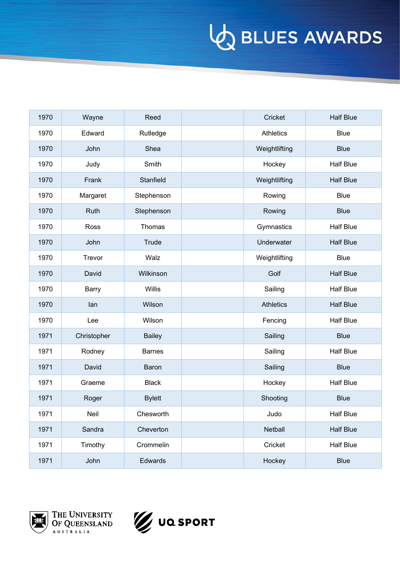| 1970 | Wayne       | Reed          | Cricket          | <b>Half Blue</b> |
|------|-------------|---------------|------------------|------------------|
| 1970 | Edward      | Rutledge      | <b>Athletics</b> | <b>Blue</b>      |
| 1970 | John        | Shea          | Weightlifting    | <b>Blue</b>      |
| 1970 | Judy        | Smith         | Hockey           | <b>Half Blue</b> |
| 1970 | Frank       | Stanfield     | Weightlifting    | <b>Half Blue</b> |
| 1970 | Margaret    | Stephenson    | Rowing           | <b>Blue</b>      |
| 1970 | Ruth        | Stephenson    | Rowing           | <b>Blue</b>      |
| 1970 | Ross        | Thomas        | Gymnastics       | <b>Half Blue</b> |
| 1970 | John        | Trude         | Underwater       | <b>Half Blue</b> |
| 1970 | Trevor      | Walz          | Weightlifting    | <b>Blue</b>      |
| 1970 | David       | Wilkinson     | Golf             | <b>Half Blue</b> |
| 1970 | Barry       | <b>Willis</b> | Sailing          | <b>Half Blue</b> |
| 1970 | lan         | Wilson        | <b>Athletics</b> | <b>Half Blue</b> |
| 1970 | Lee         | Wilson        | Fencing          | <b>Half Blue</b> |
| 1971 | Christopher | <b>Bailey</b> | Sailing          | <b>Blue</b>      |
| 1971 | Rodney      | <b>Barnes</b> | Sailing          | <b>Half Blue</b> |
| 1971 | David       | Baron         | Sailing          | <b>Blue</b>      |
| 1971 | Graeme      | <b>Black</b>  | Hockey           | <b>Half Blue</b> |
| 1971 | Roger       | <b>Bylett</b> | Shooting         | <b>Blue</b>      |
| 1971 | Neil        | Chesworth     | Judo             | <b>Half Blue</b> |
| 1971 | Sandra      | Cheverton     | Netball          | Half Blue        |
| 1971 | Timothy     | Crommelin     | Cricket          | Half Blue        |
| 1971 | John        | Edwards       | Hockey           | <b>Blue</b>      |



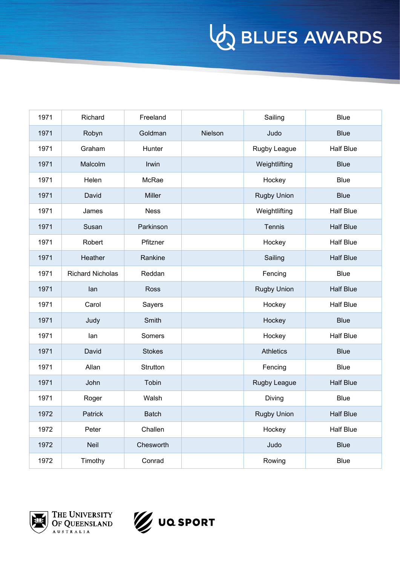| 1971 | Richard                 | Freeland      |         | Sailing            | <b>Blue</b>      |
|------|-------------------------|---------------|---------|--------------------|------------------|
| 1971 | Robyn                   | Goldman       | Nielson | Judo               | <b>Blue</b>      |
| 1971 | Graham                  | Hunter        |         | Rugby League       | <b>Half Blue</b> |
| 1971 | Malcolm                 | Irwin         |         | Weightlifting      | <b>Blue</b>      |
| 1971 | Helen                   | McRae         |         | Hockey             | <b>Blue</b>      |
| 1971 | David                   | <b>Miller</b> |         | <b>Rugby Union</b> | <b>Blue</b>      |
| 1971 | James                   | <b>Ness</b>   |         | Weightlifting      | <b>Half Blue</b> |
| 1971 | Susan                   | Parkinson     |         | Tennis             | <b>Half Blue</b> |
| 1971 | Robert                  | Pfitzner      |         | Hockey             | <b>Half Blue</b> |
| 1971 | Heather                 | Rankine       |         | Sailing            | <b>Half Blue</b> |
| 1971 | <b>Richard Nicholas</b> | Reddan        |         | Fencing            | <b>Blue</b>      |
| 1971 | lan                     | Ross          |         | <b>Rugby Union</b> | <b>Half Blue</b> |
| 1971 | Carol                   | Sayers        |         | Hockey             | <b>Half Blue</b> |
| 1971 | Judy                    | Smith         |         | Hockey             | <b>Blue</b>      |
| 1971 | lan                     | Somers        |         | Hockey             | <b>Half Blue</b> |
| 1971 | David                   | <b>Stokes</b> |         | <b>Athletics</b>   | <b>Blue</b>      |
| 1971 | Allan                   | Strutton      |         | Fencing            | <b>Blue</b>      |
| 1971 | John                    | Tobin         |         | Rugby League       | <b>Half Blue</b> |
| 1971 | Roger                   | Walsh         |         | Diving             | <b>Blue</b>      |
| 1972 | Patrick                 | <b>Batch</b>  |         | <b>Rugby Union</b> | <b>Half Blue</b> |
| 1972 | Peter                   | Challen       |         | Hockey             | Half Blue        |
| 1972 | Neil                    | Chesworth     |         | Judo               | <b>Blue</b>      |
| 1972 | Timothy                 | Conrad        |         | Rowing             | <b>Blue</b>      |



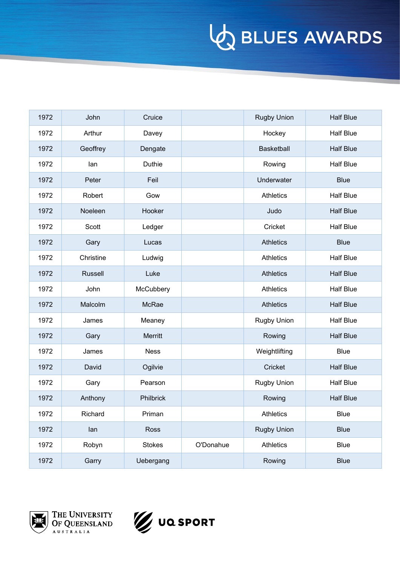| 1972 | John           | Cruice        |           | <b>Rugby Union</b> | <b>Half Blue</b> |
|------|----------------|---------------|-----------|--------------------|------------------|
| 1972 | Arthur         | Davey         |           | Hockey             | <b>Half Blue</b> |
| 1972 | Geoffrey       | Dengate       |           | <b>Basketball</b>  | <b>Half Blue</b> |
| 1972 | lan            | Duthie        |           | Rowing             | <b>Half Blue</b> |
| 1972 | Peter          | Feil          |           | Underwater         | <b>Blue</b>      |
| 1972 | Robert         | Gow           |           | <b>Athletics</b>   | <b>Half Blue</b> |
| 1972 | Noeleen        | Hooker        |           | Judo               | <b>Half Blue</b> |
| 1972 | Scott          | Ledger        |           | Cricket            | <b>Half Blue</b> |
| 1972 | Gary           | Lucas         |           | <b>Athletics</b>   | <b>Blue</b>      |
| 1972 | Christine      | Ludwig        |           | <b>Athletics</b>   | <b>Half Blue</b> |
| 1972 | <b>Russell</b> | Luke          |           | <b>Athletics</b>   | <b>Half Blue</b> |
| 1972 | John           | McCubbery     |           | <b>Athletics</b>   | <b>Half Blue</b> |
| 1972 | Malcolm        | McRae         |           | <b>Athletics</b>   | <b>Half Blue</b> |
| 1972 | James          | Meaney        |           | <b>Rugby Union</b> | <b>Half Blue</b> |
| 1972 | Gary           | Merritt       |           | Rowing             | <b>Half Blue</b> |
| 1972 | James          | <b>Ness</b>   |           | Weightlifting      | <b>Blue</b>      |
| 1972 | David          | Ogilvie       |           | Cricket            | <b>Half Blue</b> |
| 1972 | Gary           | Pearson       |           | <b>Rugby Union</b> | <b>Half Blue</b> |
| 1972 | Anthony        | Philbrick     |           | Rowing             | <b>Half Blue</b> |
| 1972 | Richard        | Priman        |           | <b>Athletics</b>   | Blue             |
| 1972 | lan            | Ross          |           | <b>Rugby Union</b> | <b>Blue</b>      |
| 1972 | Robyn          | <b>Stokes</b> | O'Donahue | Athletics          | <b>Blue</b>      |
| 1972 | Garry          | Uebergang     |           | Rowing             | <b>Blue</b>      |



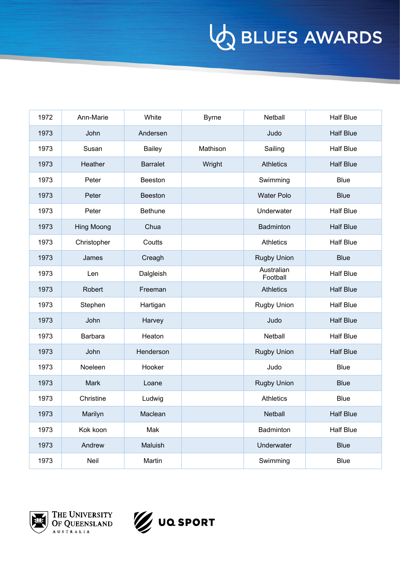| 1972 | Ann-Marie   | White           | <b>Byrne</b> | Netball                | <b>Half Blue</b> |
|------|-------------|-----------------|--------------|------------------------|------------------|
| 1973 | John        | Andersen        |              | Judo                   | <b>Half Blue</b> |
| 1973 | Susan       | <b>Bailey</b>   | Mathison     | Sailing                | <b>Half Blue</b> |
| 1973 | Heather     | <b>Barralet</b> | Wright       | <b>Athletics</b>       | <b>Half Blue</b> |
| 1973 | Peter       | Beeston         |              | Swimming               | <b>Blue</b>      |
| 1973 | Peter       | <b>Beeston</b>  |              | <b>Water Polo</b>      | <b>Blue</b>      |
| 1973 | Peter       | <b>Bethune</b>  |              | Underwater             | <b>Half Blue</b> |
| 1973 | Hing Moong  | Chua            |              | Badminton              | <b>Half Blue</b> |
| 1973 | Christopher | Coutts          |              | <b>Athletics</b>       | <b>Half Blue</b> |
| 1973 | James       | Creagh          |              | <b>Rugby Union</b>     | <b>Blue</b>      |
| 1973 | Len         | Dalgleish       |              | Australian<br>Football | <b>Half Blue</b> |
| 1973 | Robert      | Freeman         |              | <b>Athletics</b>       | <b>Half Blue</b> |
| 1973 | Stephen     | Hartigan        |              | <b>Rugby Union</b>     | <b>Half Blue</b> |
| 1973 | John        | Harvey          |              | Judo                   | <b>Half Blue</b> |
| 1973 | Barbara     | Heaton          |              | Netball                | <b>Half Blue</b> |
| 1973 | John        | Henderson       |              | <b>Rugby Union</b>     | <b>Half Blue</b> |
| 1973 | Noeleen     | Hooker          |              | Judo                   | <b>Blue</b>      |
| 1973 | <b>Mark</b> | Loane           |              | <b>Rugby Union</b>     | <b>Blue</b>      |
| 1973 | Christine   | Ludwig          |              | <b>Athletics</b>       | <b>Blue</b>      |
| 1973 | Marilyn     | Maclean         |              | Netball                | <b>Half Blue</b> |
| 1973 | Kok koon    | Mak             |              | Badminton              | <b>Half Blue</b> |
| 1973 | Andrew      | Maluish         |              | Underwater             | <b>Blue</b>      |
| 1973 | Neil        | Martin          |              | Swimming               | Blue             |



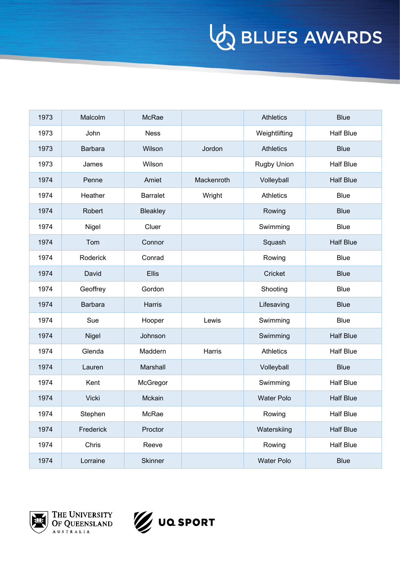| 1973 | Malcolm        | McRae           |            | <b>Athletics</b>  | <b>Blue</b>      |
|------|----------------|-----------------|------------|-------------------|------------------|
| 1973 | John           | <b>Ness</b>     |            | Weightlifting     | <b>Half Blue</b> |
| 1973 | <b>Barbara</b> | Wilson          | Jordon     | <b>Athletics</b>  | <b>Blue</b>      |
| 1973 | James          | Wilson          |            | Rugby Union       | <b>Half Blue</b> |
| 1974 | Penne          | Amiet           | Mackenroth | Volleyball        | <b>Half Blue</b> |
| 1974 | Heather        | <b>Barralet</b> | Wright     | <b>Athletics</b>  | <b>Blue</b>      |
| 1974 | Robert         | <b>Bleakley</b> |            | Rowing            | <b>Blue</b>      |
| 1974 | Nigel          | Cluer           |            | Swimming          | <b>Blue</b>      |
| 1974 | Tom            | Connor          |            | Squash            | <b>Half Blue</b> |
| 1974 | Roderick       | Conrad          |            | Rowing            | <b>Blue</b>      |
| 1974 | David          | <b>Ellis</b>    |            | Cricket           | <b>Blue</b>      |
| 1974 | Geoffrey       | Gordon          |            | Shooting          | <b>Blue</b>      |
| 1974 | <b>Barbara</b> | Harris          |            | Lifesaving        | <b>Blue</b>      |
| 1974 | Sue            | Hooper          | Lewis      | Swimming          | <b>Blue</b>      |
| 1974 | Nigel          | Johnson         |            | Swimming          | <b>Half Blue</b> |
| 1974 | Glenda         | Maddern         | Harris     | <b>Athletics</b>  | <b>Half Blue</b> |
| 1974 | Lauren         | Marshall        |            | Volleyball        | <b>Blue</b>      |
| 1974 | Kent           | McGregor        |            | Swimming          | <b>Half Blue</b> |
| 1974 | <b>Vicki</b>   | Mckain          |            | <b>Water Polo</b> | <b>Half Blue</b> |
| 1974 | Stephen        | McRae           |            | Rowing            | Half Blue        |
| 1974 | Frederick      | Proctor         |            | Waterskiing       | Half Blue        |
| 1974 | Chris          | Reeve           |            | Rowing            | Half Blue        |
| 1974 | Lorraine       | Skinner         |            | <b>Water Polo</b> | <b>Blue</b>      |



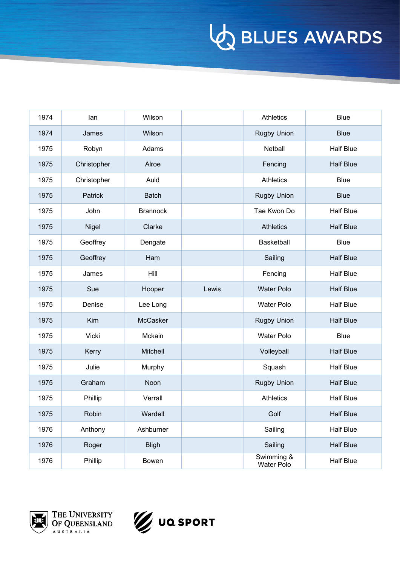| 1974 | lan          | Wilson          |       | <b>Athletics</b>         | <b>Blue</b>      |
|------|--------------|-----------------|-------|--------------------------|------------------|
| 1974 | James        | Wilson          |       | <b>Rugby Union</b>       | <b>Blue</b>      |
| 1975 | Robyn        | Adams           |       | <b>Netball</b>           | <b>Half Blue</b> |
| 1975 | Christopher  | Alroe           |       | Fencing                  | <b>Half Blue</b> |
| 1975 | Christopher  | Auld            |       | <b>Athletics</b>         | <b>Blue</b>      |
| 1975 | Patrick      | <b>Batch</b>    |       | <b>Rugby Union</b>       | <b>Blue</b>      |
| 1975 | John         | <b>Brannock</b> |       | Tae Kwon Do              | <b>Half Blue</b> |
| 1975 | <b>Nigel</b> | Clarke          |       | <b>Athletics</b>         | <b>Half Blue</b> |
| 1975 | Geoffrey     | Dengate         |       | Basketball               | <b>Blue</b>      |
| 1975 | Geoffrey     | Ham             |       | Sailing                  | <b>Half Blue</b> |
| 1975 | James        | Hill            |       | Fencing                  | <b>Half Blue</b> |
| 1975 | Sue          | Hooper          | Lewis | <b>Water Polo</b>        | <b>Half Blue</b> |
| 1975 | Denise       | Lee Long        |       | <b>Water Polo</b>        | <b>Half Blue</b> |
| 1975 | Kim          | McCasker        |       | <b>Rugby Union</b>       | <b>Half Blue</b> |
| 1975 | Vicki        | Mckain          |       | <b>Water Polo</b>        | <b>Blue</b>      |
| 1975 | Kerry        | Mitchell        |       | Volleyball               | <b>Half Blue</b> |
| 1975 | Julie        | Murphy          |       | Squash                   | <b>Half Blue</b> |
| 1975 | Graham       | Noon            |       | <b>Rugby Union</b>       | <b>Half Blue</b> |
| 1975 | Phillip      | Verrall         |       | <b>Athletics</b>         | <b>Half Blue</b> |
| 1975 | Robin        | Wardell         |       | Golf                     | <b>Half Blue</b> |
| 1976 | Anthony      | Ashburner       |       | Sailing                  | <b>Half Blue</b> |
| 1976 | Roger        | <b>Bligh</b>    |       | Sailing                  | <b>Half Blue</b> |
| 1976 | Phillip      | Bowen           |       | Swimming &<br>Water Polo | <b>Half Blue</b> |



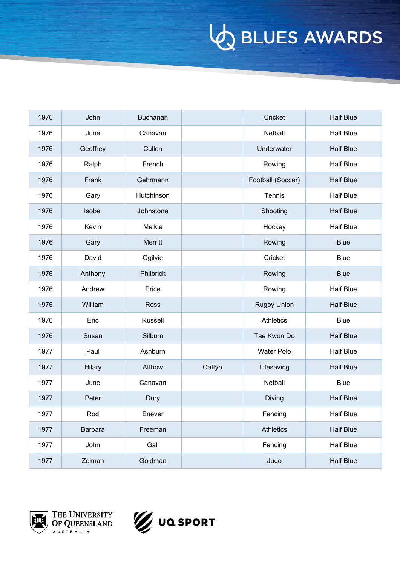| 1976 | John     | Buchanan   |        | Cricket            | <b>Half Blue</b> |
|------|----------|------------|--------|--------------------|------------------|
| 1976 | June     | Canavan    |        | Netball            | <b>Half Blue</b> |
| 1976 | Geoffrey | Cullen     |        | Underwater         | <b>Half Blue</b> |
| 1976 | Ralph    | French     |        | Rowing             | <b>Half Blue</b> |
| 1976 | Frank    | Gehrmann   |        | Football (Soccer)  | <b>Half Blue</b> |
| 1976 | Gary     | Hutchinson |        | Tennis             | <b>Half Blue</b> |
| 1976 | Isobel   | Johnstone  |        | Shooting           | <b>Half Blue</b> |
| 1976 | Kevin    | Meikle     |        | Hockey             | <b>Half Blue</b> |
| 1976 | Gary     | Merritt    |        | Rowing             | <b>Blue</b>      |
| 1976 | David    | Ogilvie    |        | Cricket            | <b>Blue</b>      |
| 1976 | Anthony  | Philbrick  |        | Rowing             | <b>Blue</b>      |
| 1976 | Andrew   | Price      |        | Rowing             | <b>Half Blue</b> |
| 1976 | William  | Ross       |        | <b>Rugby Union</b> | <b>Half Blue</b> |
| 1976 | Eric     | Russell    |        | <b>Athletics</b>   | <b>Blue</b>      |
| 1976 | Susan    | Silburn    |        | Tae Kwon Do        | <b>Half Blue</b> |
| 1977 | Paul     | Ashburn    |        | <b>Water Polo</b>  | <b>Half Blue</b> |
| 1977 | Hilary   | Atthow     | Caffyn | Lifesaving         | <b>Half Blue</b> |
| 1977 | June     | Canavan    |        | Netball            | <b>Blue</b>      |
| 1977 | Peter    | Dury       |        | Diving             | <b>Half Blue</b> |
| 1977 | Rod      | Enever     |        | Fencing            | <b>Half Blue</b> |
| 1977 | Barbara  | Freeman    |        | <b>Athletics</b>   | <b>Half Blue</b> |
| 1977 | John     | Gall       |        | Fencing            | <b>Half Blue</b> |
| 1977 | Zelman   | Goldman    |        | Judo               | <b>Half Blue</b> |



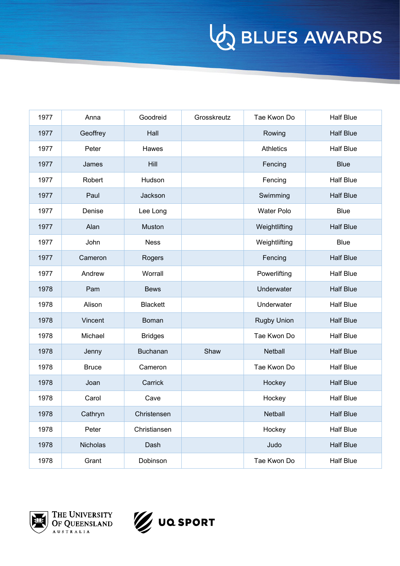| 1977 | Anna         | Goodreid        | Grosskreutz | Tae Kwon Do        | <b>Half Blue</b> |
|------|--------------|-----------------|-------------|--------------------|------------------|
| 1977 | Geoffrey     | Hall            |             | Rowing             | <b>Half Blue</b> |
| 1977 | Peter        | Hawes           |             | <b>Athletics</b>   | <b>Half Blue</b> |
| 1977 | James        | Hill            |             | Fencing            | <b>Blue</b>      |
| 1977 | Robert       | Hudson          |             | Fencing            | <b>Half Blue</b> |
| 1977 | Paul         | Jackson         |             | Swimming           | <b>Half Blue</b> |
| 1977 | Denise       | Lee Long        |             | <b>Water Polo</b>  | <b>Blue</b>      |
| 1977 | Alan         | Muston          |             | Weightlifting      | <b>Half Blue</b> |
| 1977 | John         | <b>Ness</b>     |             | Weightlifting      | <b>Blue</b>      |
| 1977 | Cameron      | Rogers          |             | Fencing            | <b>Half Blue</b> |
| 1977 | Andrew       | Worrall         |             | Powerlifting       | <b>Half Blue</b> |
| 1978 | Pam          | <b>Bews</b>     |             | Underwater         | <b>Half Blue</b> |
| 1978 | Alison       | <b>Blackett</b> |             | Underwater         | <b>Half Blue</b> |
| 1978 | Vincent      | Boman           |             | <b>Rugby Union</b> | <b>Half Blue</b> |
| 1978 | Michael      | <b>Bridges</b>  |             | Tae Kwon Do        | <b>Half Blue</b> |
| 1978 | Jenny        | Buchanan        | Shaw        | Netball            | <b>Half Blue</b> |
| 1978 | <b>Bruce</b> | Cameron         |             | Tae Kwon Do        | <b>Half Blue</b> |
| 1978 | Joan         | Carrick         |             | Hockey             | <b>Half Blue</b> |
| 1978 | Carol        | Cave            |             | Hockey             | <b>Half Blue</b> |
| 1978 | Cathryn      | Christensen     |             | <b>Netball</b>     | <b>Half Blue</b> |
| 1978 | Peter        | Christiansen    |             | Hockey             | <b>Half Blue</b> |
| 1978 | Nicholas     | Dash            |             | Judo               | <b>Half Blue</b> |
| 1978 | Grant        | Dobinson        |             | Tae Kwon Do        | <b>Half Blue</b> |



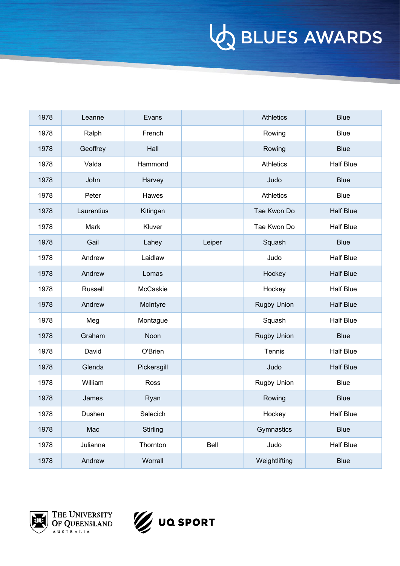| 1978 | Leanne     | Evans       |        | <b>Athletics</b>   | <b>Blue</b>      |
|------|------------|-------------|--------|--------------------|------------------|
| 1978 | Ralph      | French      |        | Rowing             | <b>Blue</b>      |
| 1978 | Geoffrey   | Hall        |        | Rowing             | <b>Blue</b>      |
| 1978 | Valda      | Hammond     |        | <b>Athletics</b>   | <b>Half Blue</b> |
| 1978 | John       | Harvey      |        | Judo               | <b>Blue</b>      |
| 1978 | Peter      | Hawes       |        | <b>Athletics</b>   | <b>Blue</b>      |
| 1978 | Laurentius | Kitingan    |        | Tae Kwon Do        | <b>Half Blue</b> |
| 1978 | Mark       | Kluver      |        | Tae Kwon Do        | <b>Half Blue</b> |
| 1978 | Gail       | Lahey       | Leiper | Squash             | <b>Blue</b>      |
| 1978 | Andrew     | Laidlaw     |        | Judo               | <b>Half Blue</b> |
| 1978 | Andrew     | Lomas       |        | Hockey             | <b>Half Blue</b> |
| 1978 | Russell    | McCaskie    |        | Hockey             | <b>Half Blue</b> |
| 1978 | Andrew     | McIntyre    |        | <b>Rugby Union</b> | <b>Half Blue</b> |
| 1978 | Meg        | Montague    |        | Squash             | <b>Half Blue</b> |
| 1978 | Graham     | Noon        |        | <b>Rugby Union</b> | <b>Blue</b>      |
| 1978 | David      | O'Brien     |        | Tennis             | <b>Half Blue</b> |
| 1978 | Glenda     | Pickersgill |        | Judo               | <b>Half Blue</b> |
| 1978 | William    | Ross        |        | <b>Rugby Union</b> | <b>Blue</b>      |
| 1978 | James      | Ryan        |        | Rowing             | <b>Blue</b>      |
| 1978 | Dushen     | Salecich    |        | Hockey             | Half Blue        |
| 1978 | Mac        | Stirling    |        | Gymnastics         | <b>Blue</b>      |
| 1978 | Julianna   | Thornton    | Bell   | Judo               | Half Blue        |
| 1978 | Andrew     | Worrall     |        | Weightlifting      | <b>Blue</b>      |